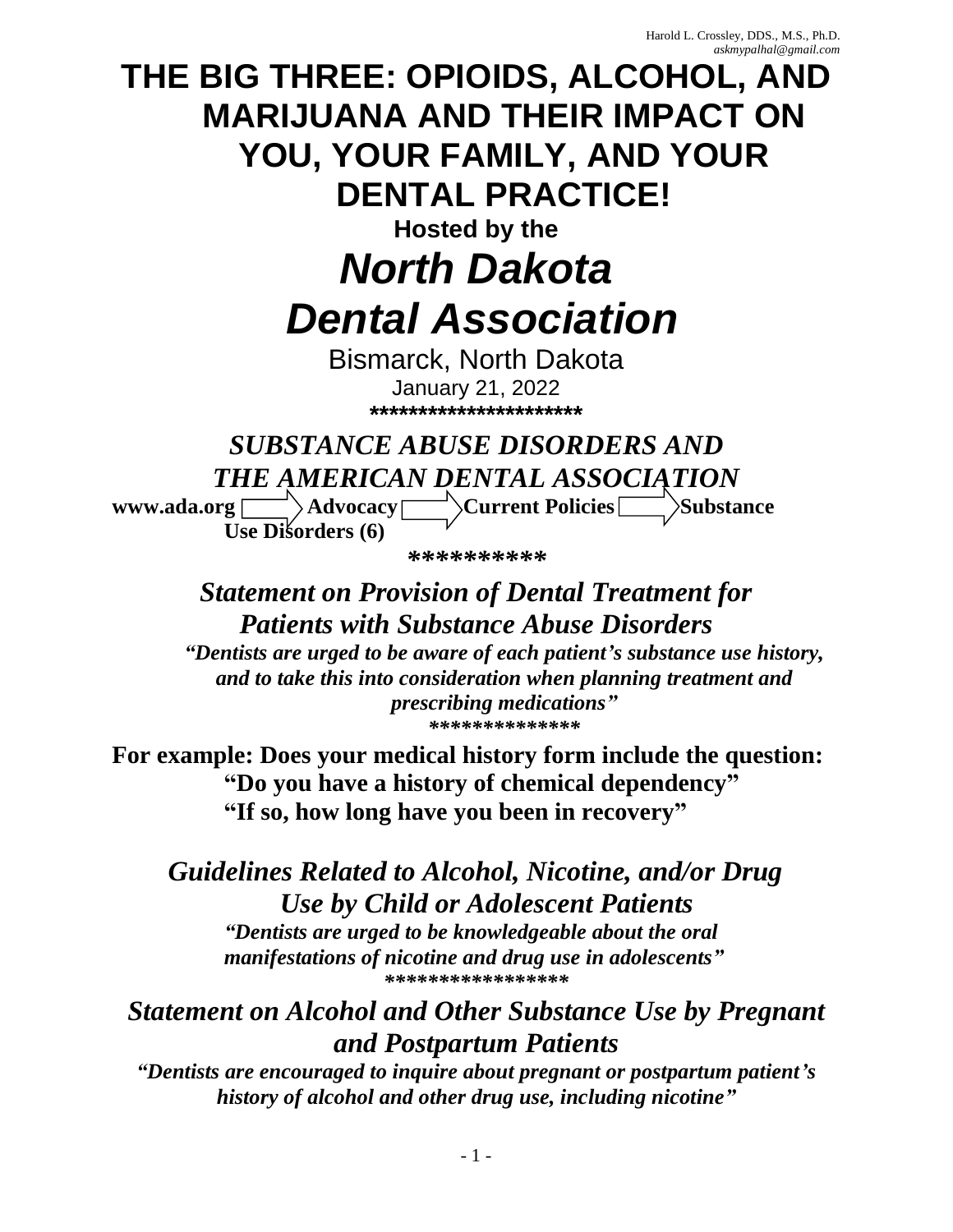# **THE BIG THREE: OPIOIDS, ALCOHOL, AND MARIJUANA AND THEIR IMPACT ON YOU, YOUR FAMILY, AND YOUR DENTAL PRACTICE!**

**Hosted by the**

# *North Dakota Dental Association*

Bismarck, North Dakota January 21, 2022 **\*\*\*\*\*\*\*\*\*\*\*\*\*\*\*\*\*\*\*\*\*\***

# *SUBSTANCE ABUSE DISORDERS AND THE AMERICAN DENTAL ASSOCIATION*

**www.ada.org** Advocacy Current Policies **Substance Use Disorders (6)**

*\*\*\*\*\*\*\*\*\*\**

# *Statement on Provision of Dental Treatment for Patients with Substance Abuse Disorders*

*"Dentists are urged to be aware of each patient's substance use history, and to take this into consideration when planning treatment and prescribing medications" \*\*\*\*\*\*\*\*\*\*\*\*\*\**

**For example: Does your medical history form include the question: "Do you have a history of chemical dependency" "If so, how long have you been in recovery"**

*Guidelines Related to Alcohol, Nicotine, and/or Drug Use by Child or Adolescent Patients "Dentists are urged to be knowledgeable about the oral manifestations of nicotine and drug use in adolescents" \*\*\*\*\*\*\*\*\*\*\*\*\*\*\*\*\**

## *Statement on Alcohol and Other Substance Use by Pregnant and Postpartum Patients*

*"Dentists are encouraged to inquire about pregnant or postpartum patient's history of alcohol and other drug use, including nicotine"*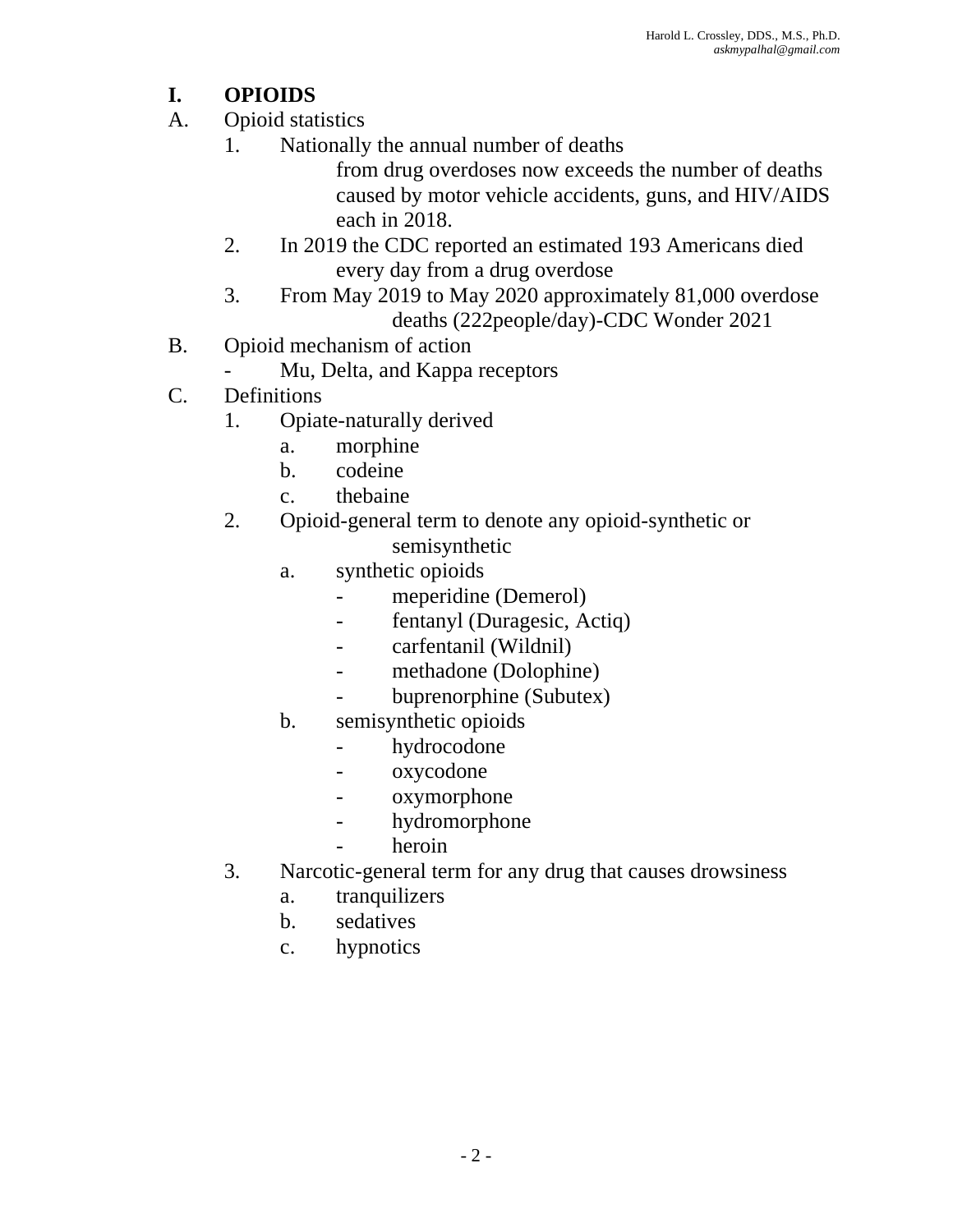## **I. OPIOIDS**

- A. Opioid statistics
	- 1. Nationally the annual number of deaths

from drug overdoses now exceeds the number of deaths caused by motor vehicle accidents, guns, and HIV/AIDS each in 2018.

- 2. In 2019 the CDC reported an estimated 193 Americans died every day from a drug overdose
- 3. From May 2019 to May 2020 approximately 81,000 overdose deaths (222people/day)-CDC Wonder 2021
- B. Opioid mechanism of action
	- Mu, Delta, and Kappa receptors
- C. Definitions
	- 1. Opiate-naturally derived
		- a. morphine
		- b. codeine
		- c. thebaine
	- 2. Opioid-general term to denote any opioid-synthetic or semisynthetic
		- a. synthetic opioids
			- meperidine (Demerol)
			- fentanyl (Duragesic, Actiq)
			- carfentanil (Wildnil)
			- methadone (Dolophine)
			- buprenorphine (Subutex)
		- b. semisynthetic opioids
			- hydrocodone
			- oxycodone
			- oxymorphone
			- hydromorphone
			- heroin
	- 3. Narcotic-general term for any drug that causes drowsiness
		- a. tranquilizers
		- b. sedatives
		- c. hypnotics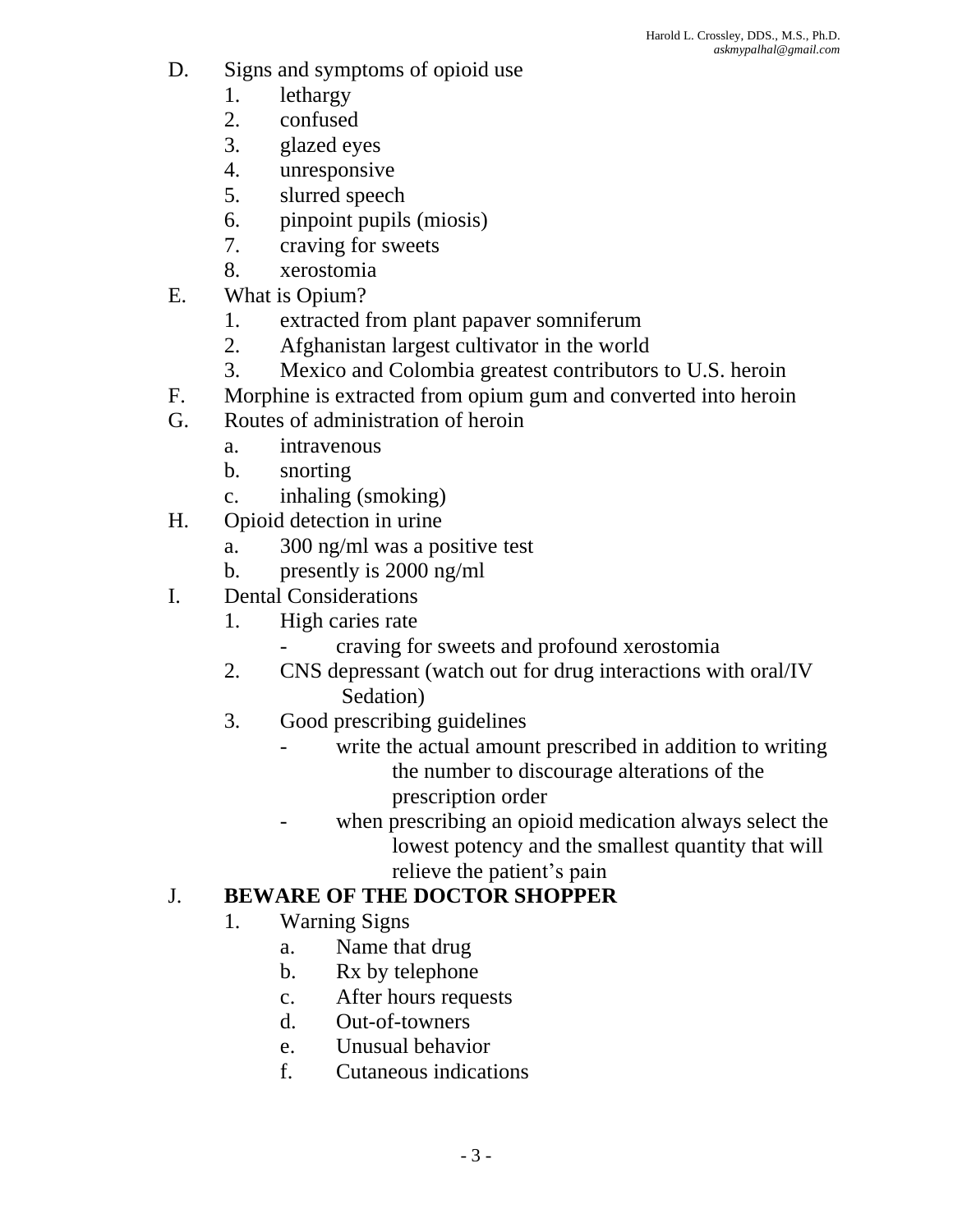- D. Signs and symptoms of opioid use
	- 1. lethargy
	- 2. confused
	- 3. glazed eyes
	- 4. unresponsive
	- 5. slurred speech
	- 6. pinpoint pupils (miosis)
	- 7. craving for sweets
	- 8. xerostomia
- E. What is Opium?
	- 1. extracted from plant papaver somniferum
	- 2. Afghanistan largest cultivator in the world
	- 3. Mexico and Colombia greatest contributors to U.S. heroin
- F. Morphine is extracted from opium gum and converted into heroin
- G. Routes of administration of heroin
	- a. intravenous
	- b. snorting
	- c. inhaling (smoking)
- H. Opioid detection in urine
	- a. 300 ng/ml was a positive test
	- b. presently is 2000 ng/ml
- I. Dental Considerations
	- 1. High caries rate
		- craving for sweets and profound xerostomia
	- 2. CNS depressant (watch out for drug interactions with oral/IV Sedation)
	- 3. Good prescribing guidelines
		- write the actual amount prescribed in addition to writing the number to discourage alterations of the prescription order
		- when prescribing an opioid medication always select the lowest potency and the smallest quantity that will relieve the patient's pain

## J. **BEWARE OF THE DOCTOR SHOPPER**

- 1. Warning Signs
	- a. Name that drug
	- b. Rx by telephone
	- c. After hours requests
	- d. Out-of-towners
	- e. Unusual behavior
	- f. Cutaneous indications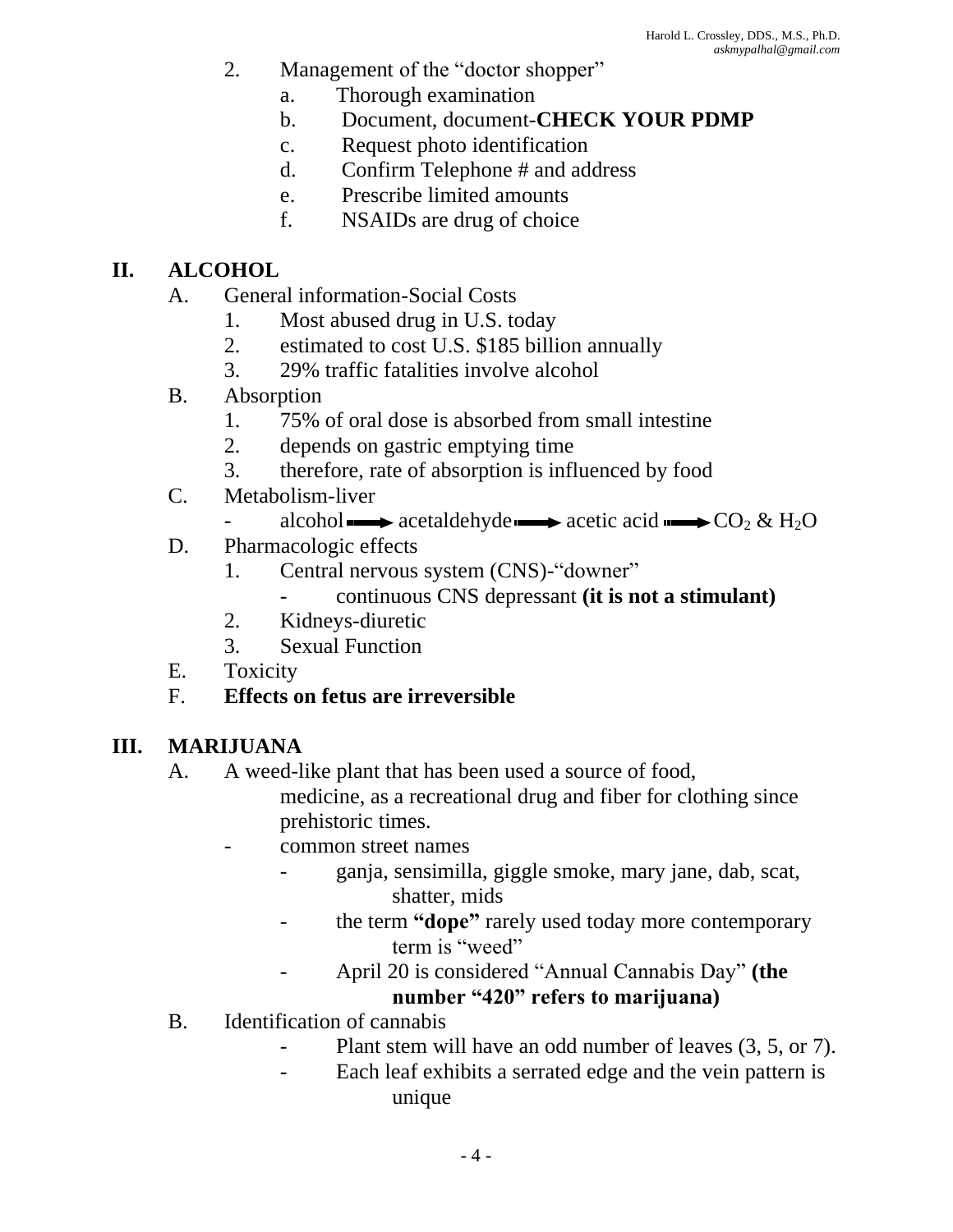- 2. Management of the "doctor shopper"
	- a. Thorough examination
	- b. Document, document-**CHECK YOUR PDMP**
	- c. Request photo identification
	- d. Confirm Telephone # and address
	- e. Prescribe limited amounts
	- f. NSAIDs are drug of choice

#### **II. ALCOHOL**

- A. General information-Social Costs
	- 1. Most abused drug in U.S. today
	- 2. estimated to cost U.S. \$185 billion annually
	- 3. 29% traffic fatalities involve alcohol

#### B. Absorption

- 1. 75% of oral dose is absorbed from small intestine
- 2. depends on gastric emptying time
- 3. therefore, rate of absorption is influenced by food
- C. Metabolism-liver
	- alcohol  $\longrightarrow$  acetaldehyde  $\longrightarrow$  acetic acid  $\longrightarrow$  CO<sub>2</sub> & H<sub>2</sub>O
- D. Pharmacologic effects
	- 1. Central nervous system (CNS)-"downer"
		- continuous CNS depressant **(it is not a stimulant)**
	- 2. Kidneys-diuretic
	- 3. Sexual Function
- E. Toxicity

### F. **Effects on fetus are irreversible**

#### **III. MARIJUANA**

A. A weed-like plant that has been used a source of food,

medicine, as a recreational drug and fiber for clothing since prehistoric times.

- common street names
	- ganja, sensimilla, giggle smoke, mary jane, dab, scat, shatter, mids
	- the term "dope" rarely used today more contemporary term is "weed"

- April 20 is considered "Annual Cannabis Day" **(the** 

## **number "420" refers to marijuana)**

- B. Identification of cannabis
	- Plant stem will have an odd number of leaves  $(3, 5, 0r)$ .
		- Each leaf exhibits a serrated edge and the vein pattern is unique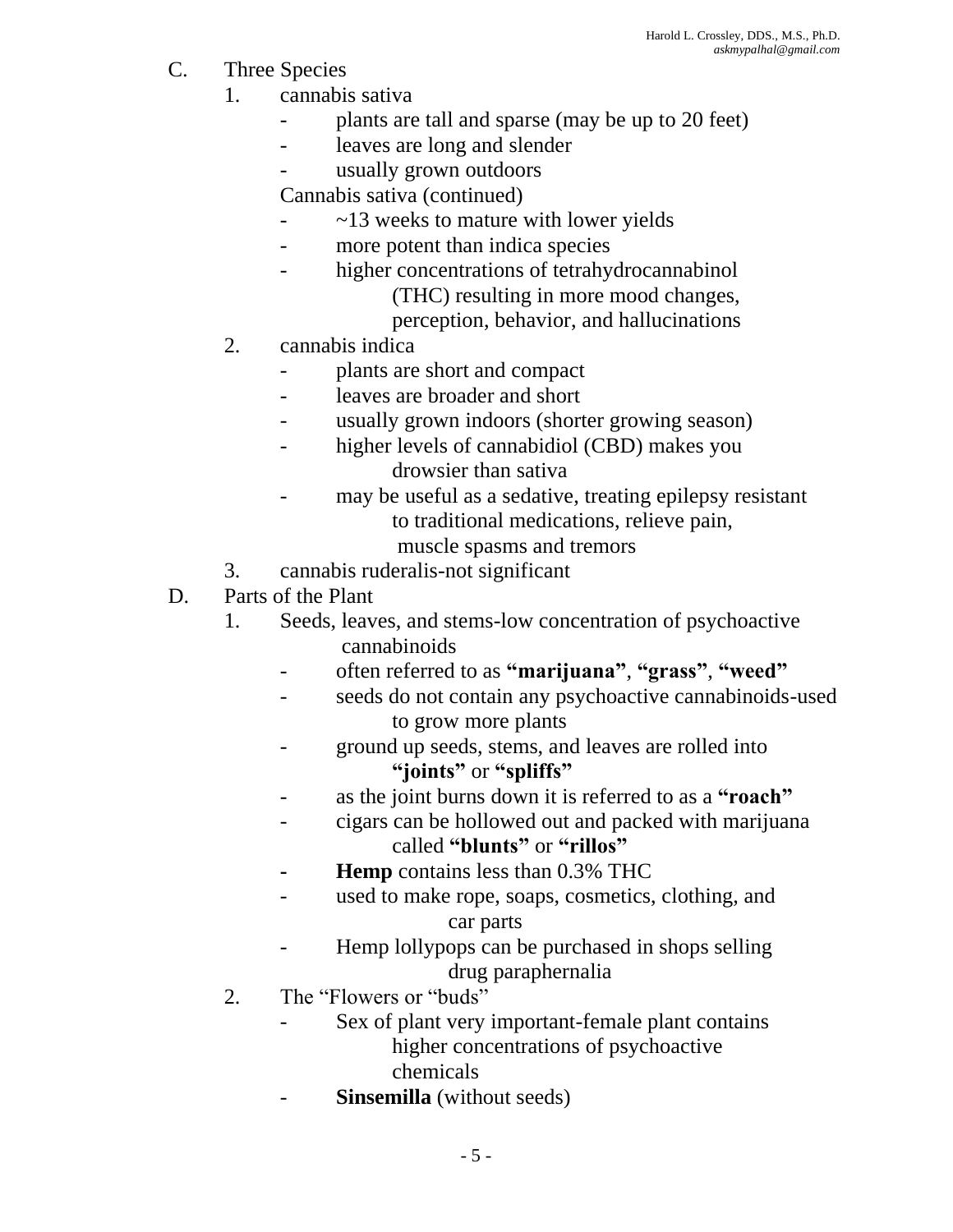- C. Three Species
	- 1. cannabis sativa
		- plants are tall and sparse (may be up to 20 feet)
		- leaves are long and slender
		- usually grown outdoors

Cannabis sativa (continued)

- $\sim$  13 weeks to mature with lower yields
- more potent than indica species
- higher concentrations of tetrahydrocannabinol (THC) resulting in more mood changes, perception, behavior, and hallucinations
- 2. cannabis indica
	- plants are short and compact
	- leaves are broader and short
	- usually grown indoors (shorter growing season)
	- higher levels of cannabidiol (CBD) makes you drowsier than sativa
		- may be useful as a sedative, treating epilepsy resistant to traditional medications, relieve pain,
			- muscle spasms and tremors
- 3. cannabis ruderalis-not significant
- D. Parts of the Plant
	- 1. Seeds, leaves, and stems-low concentration of psychoactive cannabinoids
		- often referred to as **"marijuana"**, **"grass"**, **"weed"**
		- seeds do not contain any psychoactive cannabinoids-used to grow more plants
		- ground up seeds, stems, and leaves are rolled into **"joints"** or **"spliffs"**
		- as the joint burns down it is referred to as a **"roach"**
		- cigars can be hollowed out and packed with marijuana called **"blunts"** or **"rillos"**
		- **- Hemp** contains less than 0.3% THC
		- used to make rope, soaps, cosmetics, clothing, and car parts
		- Hemp lollypops can be purchased in shops selling
			- drug paraphernalia
	- 2. The "Flowers or "buds"
		- Sex of plant very important-female plant contains higher concentrations of psychoactive chemicals
		- **Sinsemilla** (without seeds)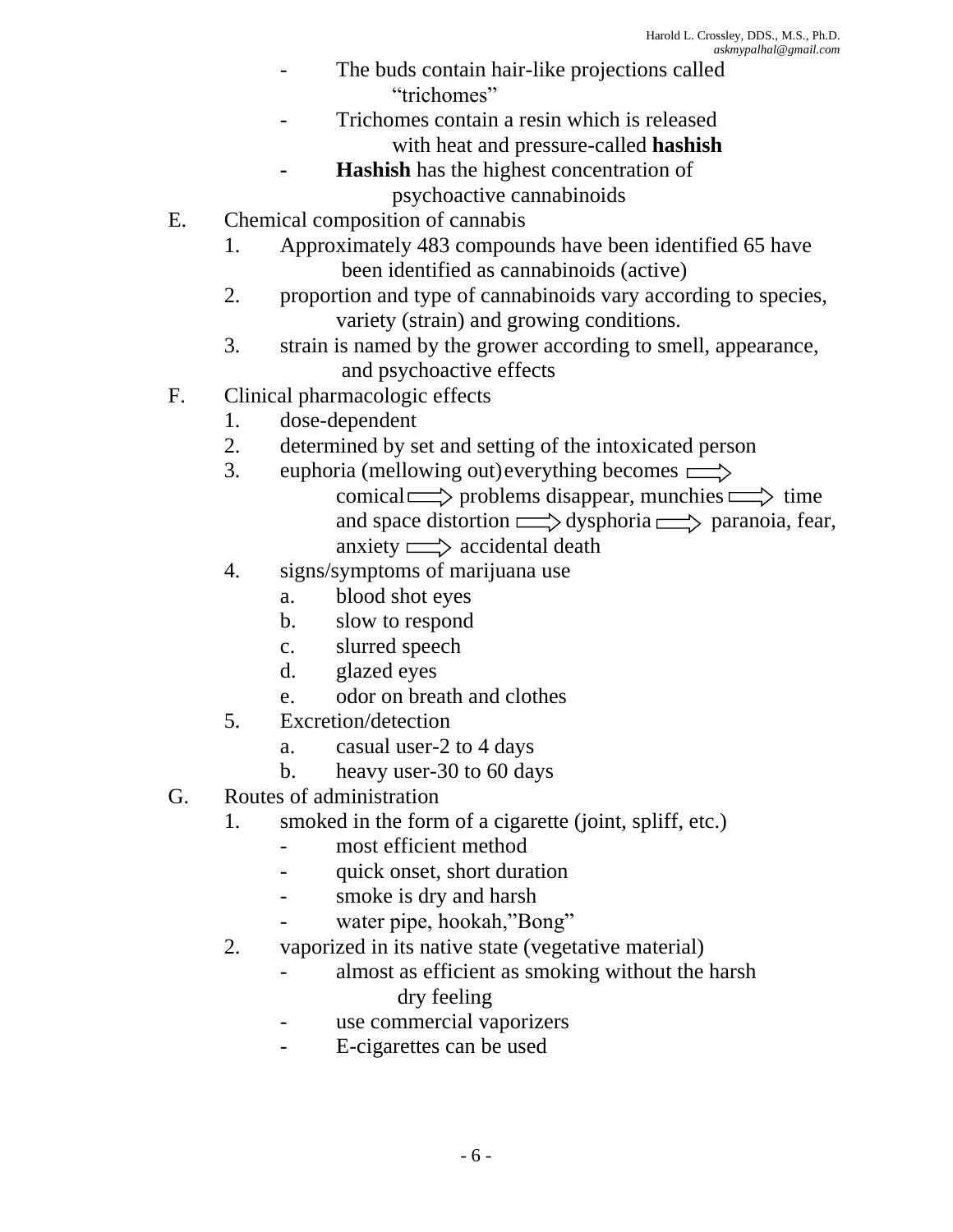- The buds contain hair-like projections called "trichomes"
- Trichomes contain a resin which is released with heat and pressure-called **hashish**
- **- Hashish** has the highest concentration of psychoactive cannabinoids
- E. Chemical composition of cannabis
	- 1. Approximately 483 compounds have been identified 65 have been identified as cannabinoids (active)
	- 2. proportion and type of cannabinoids vary according to species, variety (strain) and growing conditions.
	- 3. strain is named by the grower according to smell, appearance, and psychoactive effects
- F. Clinical pharmacologic effects
	- 1. dose-dependent
	- 2. determined by set and setting of the intoxicated person
	- 3. euphoria (mellowing out)everything becomes  $\implies$ comical  $\Longrightarrow$  problems disappear, munchies  $\Longrightarrow$  time and space distortion  $\implies$  dysphoria  $\implies$  paranoia, fear,  $\text{anxity} \Longrightarrow \text{accidental death}$
	- 4. signs/symptoms of marijuana use
		- a. blood shot eyes
		- b. slow to respond
		- c. slurred speech
		- d. glazed eyes
		- e. odor on breath and clothes
	- 5. Excretion/detection
		- a. casual user-2 to 4 days
		- b. heavy user-30 to 60 days
- G. Routes of administration
	- 1. smoked in the form of a cigarette (joint, spliff, etc.)
		- most efficient method
		- quick onset, short duration
		- smoke is dry and harsh
		- water pipe, hookah,"Bong"
	- 2. vaporized in its native state (vegetative material)
		- almost as efficient as smoking without the harsh dry feeling
		- use commercial vaporizers
		- E-cigarettes can be used